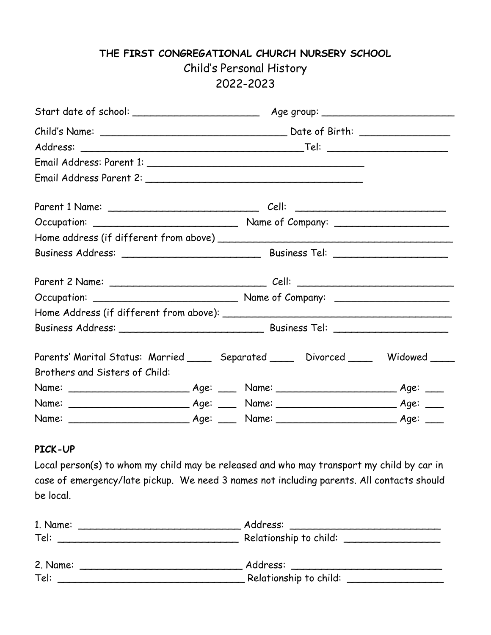# **THE FIRST CONGREGATIONAL CHURCH NURSERY SCHOOL** Child's Personal History 2022-2023

| Parents' Marital Status: Married _____ Separated _____ Divorced _____ Widowed ____ |  |  |  |  |  |  |
|------------------------------------------------------------------------------------|--|--|--|--|--|--|
| Brothers and Sisters of Child:                                                     |  |  |  |  |  |  |
|                                                                                    |  |  |  |  |  |  |
|                                                                                    |  |  |  |  |  |  |
|                                                                                    |  |  |  |  |  |  |

#### **PICK-UP**

Local person(s) to whom my child may be released and who may transport my child by car in case of emergency/late pickup. We need 3 names not including parents. All contacts should be local.

| 1. Name: | Address:<br><u> 1989 - Johann John Stein, mars an deutscher Stein († 1958)</u> |
|----------|--------------------------------------------------------------------------------|
| Tel:     | Relationship to child: _____________                                           |
|          |                                                                                |
| 2. Name: | Address:                                                                       |
| Tel:     | Relationship to child:                                                         |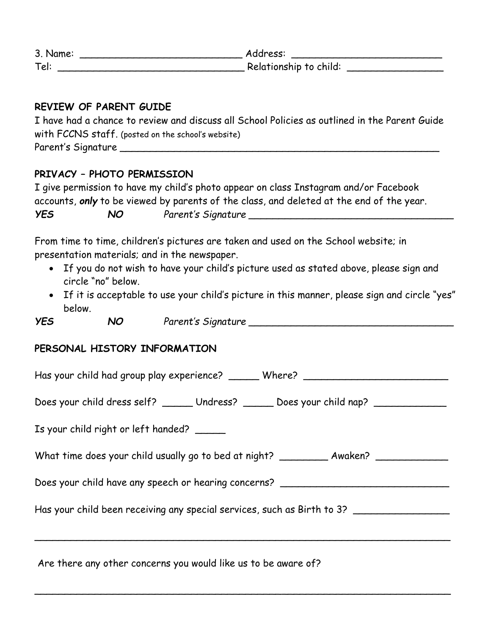| 3. Name: | Address:               |
|----------|------------------------|
| Tel:     | Relationship to child: |

### **REVIEW OF PARENT GUIDE**

| I have had a chance to review and discuss all School Policies as outlined in the Parent Guide |
|-----------------------------------------------------------------------------------------------|
| with FCCNS staff. (posted on the school's website)                                            |
| Parent's Signature                                                                            |

## **PRIVACY – PHOTO PERMISSION**

|                   | I give permission to have my child's photo appear on class Instagram and/or Facebook     |
|-------------------|------------------------------------------------------------------------------------------|
|                   | accounts, only to be viewed by parents of the class, and deleted at the end of the year. |
| <b>YES</b><br>NO. | Parent's Signature                                                                       |

From time to time, children's pictures are taken and used on the School website; in presentation materials; and in the newspaper.

- If you do not wish to have your child's picture used as stated above, please sign and circle "no" below.
- If it is acceptable to use your child's picture in this manner, please sign and circle "yes" below.

*YES NO Parent's Signature \_\_\_\_\_\_\_\_\_\_\_\_\_\_\_\_\_\_\_\_\_\_\_\_\_\_\_\_\_\_\_\_\_\_*

### **PERSONAL HISTORY INFORMATION**

| Has your child had group play experience? _______ Where? _______________________        |
|-----------------------------------------------------------------------------------------|
| Does your child dress self? ______ Undress? _____ Does your child nap? _________        |
| Is your child right or left handed?                                                     |
| What time does your child usually go to bed at night? ____________ Awaken? ____________ |
| Does your child have any speech or hearing concerns? ___________________________        |
| Has your child been receiving any special services, such as Birth to 3? _______________ |
|                                                                                         |
|                                                                                         |

 $\overline{\phantom{a}}$ 

Are there any other concerns you would like us to be aware of?